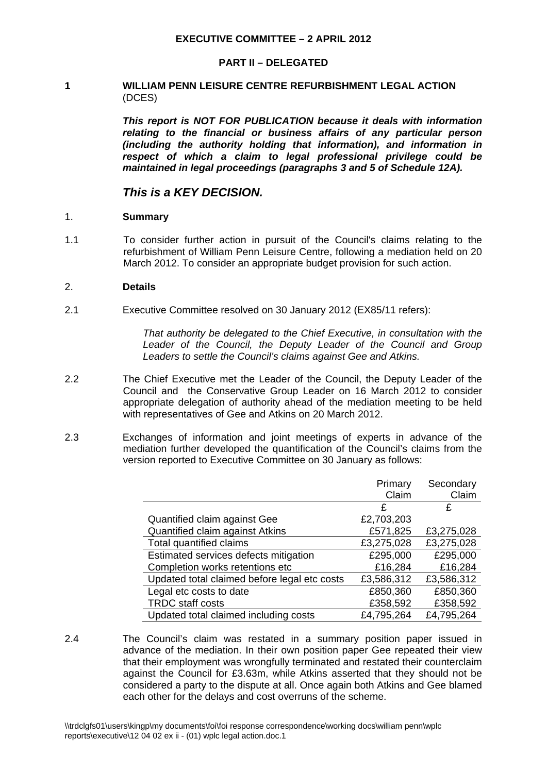#### **PART II – DELEGATED**

## **1 WILLIAM PENN LEISURE CENTRE REFURBISHMENT LEGAL ACTION**  (DCES)

*This report is NOT FOR PUBLICATION because it deals with information relating to the financial or business affairs of any particular person (including the authority holding that information), and information in respect of which a claim to legal professional privilege could be maintained in legal proceedings (paragraphs 3 and 5 of Schedule 12A).*

# *This is a KEY DECISION.*

#### 1. **Summary**

1.1 To consider further action in pursuit of the Council's claims relating to the refurbishment of William Penn Leisure Centre, following a mediation held on 20 March 2012. To consider an appropriate budget provision for such action.

#### 2. **Details**

2.1 Executive Committee resolved on 30 January 2012 (EX85/11 refers):

 *That authority be delegated to the Chief Executive, in consultation with the*  Leader of the Council, the Deputy Leader of the Council and Group *Leaders to settle the Council's claims against Gee and Atkins.* 

- 2.2 The Chief Executive met the Leader of the Council, the Deputy Leader of the Council and the Conservative Group Leader on 16 March 2012 to consider appropriate delegation of authority ahead of the mediation meeting to be held with representatives of Gee and Atkins on 20 March 2012.
- 2.3 Exchanges of information and joint meetings of experts in advance of the mediation further developed the quantification of the Council's claims from the version reported to Executive Committee on 30 January as follows:

|                                              | Primary    | Secondary  |
|----------------------------------------------|------------|------------|
|                                              | Claim      | Claim      |
|                                              | £          | £          |
| Quantified claim against Gee                 | £2,703,203 |            |
| Quantified claim against Atkins              | £571,825   | £3,275,028 |
| Total quantified claims                      | £3,275,028 | £3,275,028 |
| Estimated services defects mitigation        | £295,000   | £295,000   |
| Completion works retentions etc              | £16,284    | £16,284    |
| Updated total claimed before legal etc costs | £3,586,312 | £3,586,312 |
| Legal etc costs to date                      | £850,360   | £850,360   |
| <b>TRDC</b> staff costs                      | £358,592   | £358,592   |
| Updated total claimed including costs        | £4,795,264 | £4,795,264 |

2.4 The Council's claim was restated in a summary position paper issued in advance of the mediation. In their own position paper Gee repeated their view that their employment was wrongfully terminated and restated their counterclaim against the Council for £3.63m, while Atkins asserted that they should not be considered a party to the dispute at all. Once again both Atkins and Gee blamed each other for the delays and cost overruns of the scheme.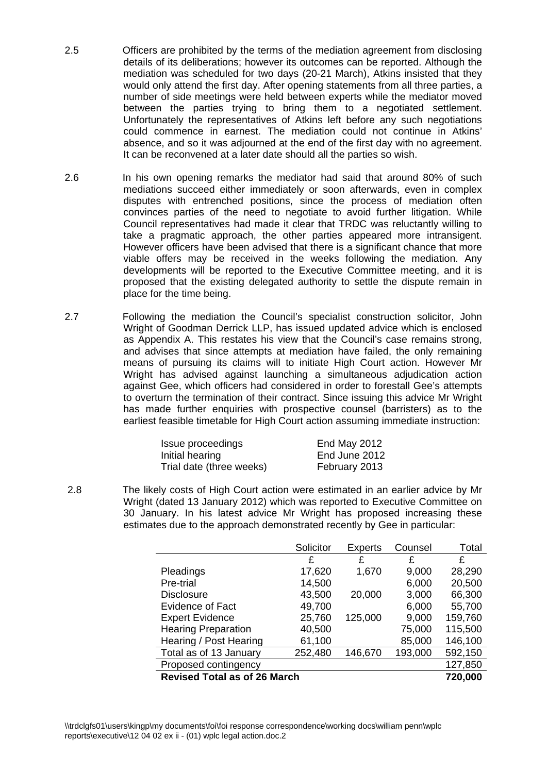- 2.5 Officers are prohibited by the terms of the mediation agreement from disclosing details of its deliberations; however its outcomes can be reported. Although the mediation was scheduled for two days (20-21 March), Atkins insisted that they would only attend the first day. After opening statements from all three parties, a number of side meetings were held between experts while the mediator moved between the parties trying to bring them to a negotiated settlement. Unfortunately the representatives of Atkins left before any such negotiations could commence in earnest. The mediation could not continue in Atkins' absence, and so it was adjourned at the end of the first day with no agreement. It can be reconvened at a later date should all the parties so wish.
- 2.6 In his own opening remarks the mediator had said that around 80% of such mediations succeed either immediately or soon afterwards, even in complex disputes with entrenched positions, since the process of mediation often convinces parties of the need to negotiate to avoid further litigation. While Council representatives had made it clear that TRDC was reluctantly willing to take a pragmatic approach, the other parties appeared more intransigent. However officers have been advised that there is a significant chance that more viable offers may be received in the weeks following the mediation. Any developments will be reported to the Executive Committee meeting, and it is proposed that the existing delegated authority to settle the dispute remain in place for the time being.
- 2.7 Following the mediation the Council's specialist construction solicitor, John Wright of Goodman Derrick LLP, has issued updated advice which is enclosed as Appendix A. This restates his view that the Council's case remains strong, and advises that since attempts at mediation have failed, the only remaining means of pursuing its claims will to initiate High Court action. However Mr Wright has advised against launching a simultaneous adjudication action against Gee, which officers had considered in order to forestall Gee's attempts to overturn the termination of their contract. Since issuing this advice Mr Wright has made further enquiries with prospective counsel (barristers) as to the earliest feasible timetable for High Court action assuming immediate instruction:

| Issue proceedings        | End May 2012  |
|--------------------------|---------------|
| Initial hearing          | End June 2012 |
| Trial date (three weeks) | February 2013 |

 2.8 The likely costs of High Court action were estimated in an earlier advice by Mr Wright (dated 13 January 2012) which was reported to Executive Committee on 30 January. In his latest advice Mr Wright has proposed increasing these estimates due to the approach demonstrated recently by Gee in particular:

|                                     | Solicitor | <b>Experts</b> | Counsel | Total   |
|-------------------------------------|-----------|----------------|---------|---------|
|                                     | £         | £              | £       | £       |
| Pleadings                           | 17,620    | 1,670          | 9,000   | 28,290  |
| Pre-trial                           | 14,500    |                | 6,000   | 20,500  |
| <b>Disclosure</b>                   | 43,500    | 20,000         | 3,000   | 66,300  |
| <b>Evidence of Fact</b>             | 49,700    |                | 6,000   | 55,700  |
| <b>Expert Evidence</b>              | 25,760    | 125,000        | 9,000   | 159,760 |
| <b>Hearing Preparation</b>          | 40,500    |                | 75,000  | 115,500 |
| Hearing / Post Hearing              | 61,100    |                | 85,000  | 146,100 |
| Total as of 13 January              | 252,480   | 146,670        | 193,000 | 592,150 |
| Proposed contingency                |           |                |         | 127,850 |
| <b>Revised Total as of 26 March</b> |           |                |         | 720,000 |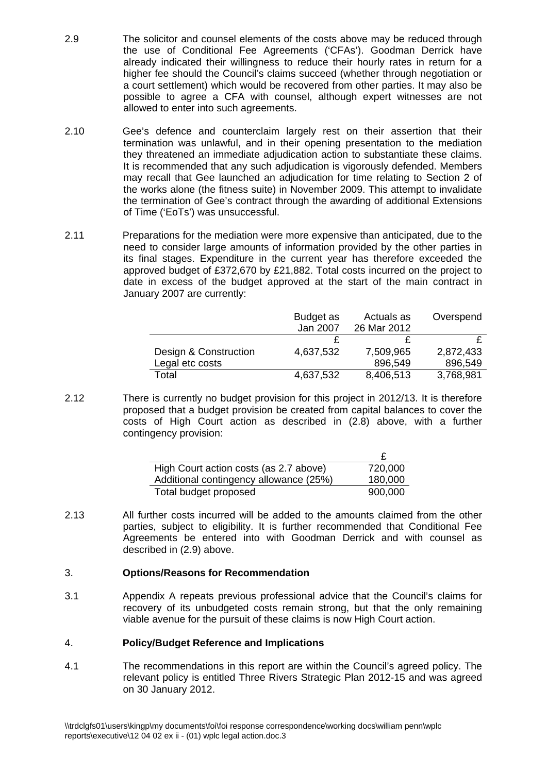- 2.9 The solicitor and counsel elements of the costs above may be reduced through the use of Conditional Fee Agreements ('CFAs'). Goodman Derrick have already indicated their willingness to reduce their hourly rates in return for a higher fee should the Council's claims succeed (whether through negotiation or a court settlement) which would be recovered from other parties. It may also be possible to agree a CFA with counsel, although expert witnesses are not allowed to enter into such agreements.
- 2.10 Gee's defence and counterclaim largely rest on their assertion that their termination was unlawful, and in their opening presentation to the mediation they threatened an immediate adjudication action to substantiate these claims. It is recommended that any such adjudication is vigorously defended. Members may recall that Gee launched an adjudication for time relating to Section 2 of the works alone (the fitness suite) in November 2009. This attempt to invalidate the termination of Gee's contract through the awarding of additional Extensions of Time ('EoTs') was unsuccessful.
- 2.11 Preparations for the mediation were more expensive than anticipated, due to the need to consider large amounts of information provided by the other parties in its final stages. Expenditure in the current year has therefore exceeded the approved budget of £372,670 by £21,882. Total costs incurred on the project to date in excess of the budget approved at the start of the main contract in January 2007 are currently:

|                       | Budget as | Actuals as  | Overspend |
|-----------------------|-----------|-------------|-----------|
|                       | Jan 2007  | 26 Mar 2012 |           |
|                       |           |             |           |
| Design & Construction | 4,637,532 | 7,509,965   | 2,872,433 |
| Legal etc costs       |           | 896,549     | 896,549   |
| Total                 | 4,637,532 | 8,406,513   | 3,768,981 |

2.12 There is currently no budget provision for this project in 2012/13. It is therefore proposed that a budget provision be created from capital balances to cover the costs of High Court action as described in (2.8) above, with a further contingency provision:

| High Court action costs (as 2.7 above) | 720,000 |
|----------------------------------------|---------|
| Additional contingency allowance (25%) | 180,000 |
| Total budget proposed                  | 900,000 |

2.13 All further costs incurred will be added to the amounts claimed from the other parties, subject to eligibility. It is further recommended that Conditional Fee Agreements be entered into with Goodman Derrick and with counsel as described in (2.9) above.

# 3. **Options/Reasons for Recommendation**

3.1 Appendix A repeats previous professional advice that the Council's claims for recovery of its unbudgeted costs remain strong, but that the only remaining viable avenue for the pursuit of these claims is now High Court action.

# 4. **Policy/Budget Reference and Implications**

4.1 The recommendations in this report are within the Council's agreed policy. The relevant policy is entitled Three Rivers Strategic Plan 2012-15 and was agreed on 30 January 2012.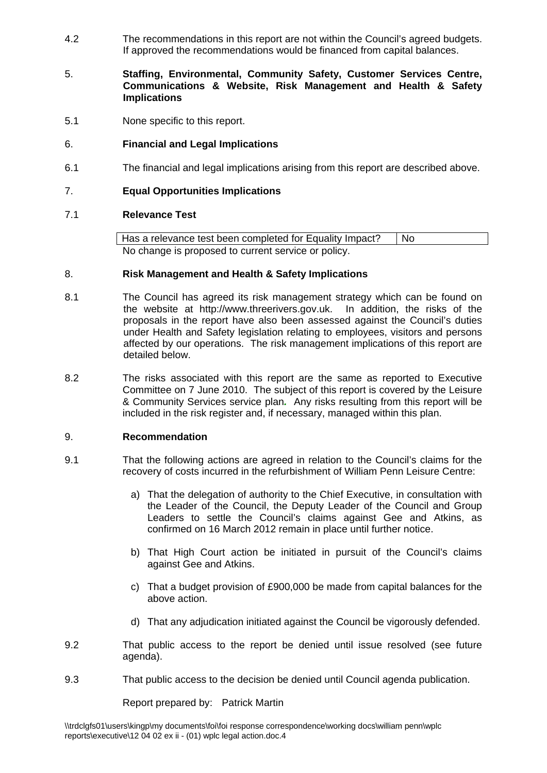4.2 The recommendations in this report are not within the Council's agreed budgets. If approved the recommendations would be financed from capital balances.

## 5. **Staffing, Environmental, Community Safety, Customer Services Centre, Communications & Website, Risk Management and Health & Safety Implications**

5.1 None specific to this report.

# 6. **Financial and Legal Implications**

6.1 The financial and legal implications arising from this report are described above.

## 7. **Equal Opportunities Implications**

## 7.1 **Relevance Test**

Has a relevance test been completed for Equality Impact? | No No change is proposed to current service or policy.

#### 8. **Risk Management and Health & Safety Implications**

- 8.1 The Council has agreed its risk management strategy which can be found on the website at http://www.threerivers.gov.uk. In addition, the risks of the proposals in the report have also been assessed against the Council's duties under Health and Safety legislation relating to employees, visitors and persons affected by our operations. The risk management implications of this report are detailed below.
- 8.2 The risks associated with this report are the same as reported to Executive Committee on 7 June 2010. The subject of this report is covered by the Leisure & Community Services service plan*.* Any risks resulting from this report will be included in the risk register and, if necessary, managed within this plan.

#### 9. **Recommendation**

- 9.1 That the following actions are agreed in relation to the Council's claims for the recovery of costs incurred in the refurbishment of William Penn Leisure Centre:
	- a) That the delegation of authority to the Chief Executive, in consultation with the Leader of the Council, the Deputy Leader of the Council and Group Leaders to settle the Council's claims against Gee and Atkins, as confirmed on 16 March 2012 remain in place until further notice.
	- b) That High Court action be initiated in pursuit of the Council's claims against Gee and Atkins.
	- c) That a budget provision of £900,000 be made from capital balances for the above action.
	- d) That any adjudication initiated against the Council be vigorously defended.
- 9.2 That public access to the report be denied until issue resolved (see future agenda).
- 9.3 That public access to the decision be denied until Council agenda publication.

Report prepared by: Patrick Martin